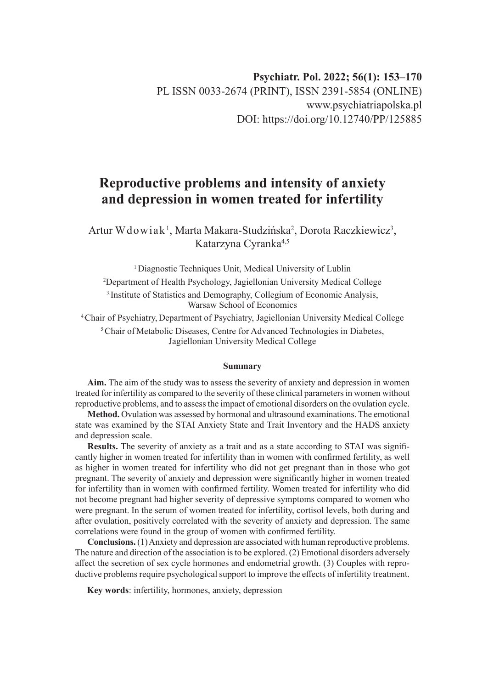# **Reproductive problems and intensity of anxiety and depression in women treated for infertility**

Artur W dowiak<sup>1</sup>, Marta Makara-Studzińska<sup>2</sup>, Dorota Raczkiewicz<sup>3</sup>, Katarzyna Cyranka4,5

<sup>1</sup> Diagnostic Techniques Unit, Medical University of Lublin 2 Department of Health Psychology, Jagiellonian University Medical College 3.Institute of Statistics and Demography, Collegium of Economic Analysis, Warsaw School of Economics

4.Chair of Psychiatry, Department of Psychiatry, Jagiellonian University Medical College <sup>5</sup> Chair of Metabolic Diseases, Centre for Advanced Technologies in Diabetes, Jagiellonian University Medical College

#### **Summary**

**Aim.** The aim of the study was to assess the severity of anxiety and depression in women treated for infertility as compared to the severity of these clinical parameters in women without reproductive problems, and to assess the impact of emotional disorders on the ovulation cycle.

**Method.** Ovulation was assessed by hormonal and ultrasound examinations. The emotional state was examined by the STAI Anxiety State and Trait Inventory and the HADS anxiety and depression scale.

**Results.** The severity of anxiety as a trait and as a state according to STAI was significantly higher in women treated for infertility than in women with confirmed fertility, as well as higher in women treated for infertility who did not get pregnant than in those who got pregnant. The severity of anxiety and depression were significantly higher in women treated for infertility than in women with confirmed fertility. Women treated for infertility who did not become pregnant had higher severity of depressive symptoms compared to women who were pregnant. In the serum of women treated for infertility, cortisol levels, both during and after ovulation, positively correlated with the severity of anxiety and depression. The same correlations were found in the group of women with confirmed fertility.

**Conclusions.** (1) Anxiety and depression are associated with human reproductive problems. The nature and direction of the association is to be explored. (2) Emotional disorders adversely affect the secretion of sex cycle hormones and endometrial growth. (3) Couples with reproductive problems require psychological support to improve the effects of infertility treatment.

**Key words**: infertility, hormones, anxiety, depression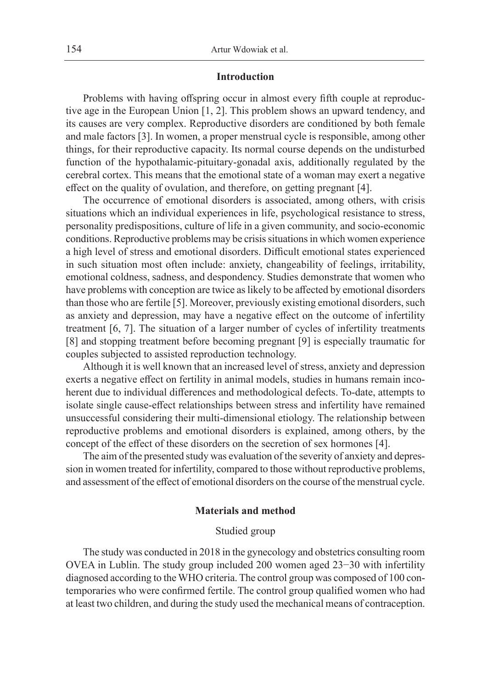## **Introduction**

Problems with having offspring occur in almost every fifth couple at reproductive age in the European Union [1, 2]. This problem shows an upward tendency, and its causes are very complex. Reproductive disorders are conditioned by both female and male factors [3]. In women, a proper menstrual cycle is responsible, among other things, for their reproductive capacity. Its normal course depends on the undisturbed function of the hypothalamic-pituitary-gonadal axis, additionally regulated by the cerebral cortex. This means that the emotional state of a woman may exert a negative effect on the quality of ovulation, and therefore, on getting pregnant [4].

The occurrence of emotional disorders is associated, among others, with crisis situations which an individual experiences in life, psychological resistance to stress, personality predispositions, culture of life in a given community, and socio-economic conditions. Reproductive problems may be crisis situations in which women experience a high level of stress and emotional disorders. Difficult emotional states experienced in such situation most often include: anxiety, changeability of feelings, irritability, emotional coldness, sadness, and despondency. Studies demonstrate that women who have problems with conception are twice as likely to be affected by emotional disorders than those who are fertile [5]. Moreover, previously existing emotional disorders, such as anxiety and depression, may have a negative effect on the outcome of infertility treatment [6, 7]. The situation of a larger number of cycles of infertility treatments [8] and stopping treatment before becoming pregnant [9] is especially traumatic for couples subjected to assisted reproduction technology.

Although it is well known that an increased level of stress, anxiety and depression exerts a negative effect on fertility in animal models, studies in humans remain incoherent due to individual differences and methodological defects. To-date, attempts to isolate single cause-effect relationships between stress and infertility have remained unsuccessful considering their multi-dimensional etiology. The relationship between reproductive problems and emotional disorders is explained, among others, by the concept of the effect of these disorders on the secretion of sex hormones [4].

The aim of the presented study was evaluation of the severity of anxiety and depression in women treated for infertility, compared to those without reproductive problems, and assessment of the effect of emotional disorders on the course of the menstrual cycle.

### **Materials and method**

## Studied group

The study was conducted in 2018 in the gynecology and obstetrics consulting room OVEA in Lublin. The study group included 200 women aged 23−30 with infertility diagnosed according to the WHO criteria. The control group was composed of 100 contemporaries who were confirmed fertile. The control group qualified women who had at least two children, and during the study used the mechanical means of contraception.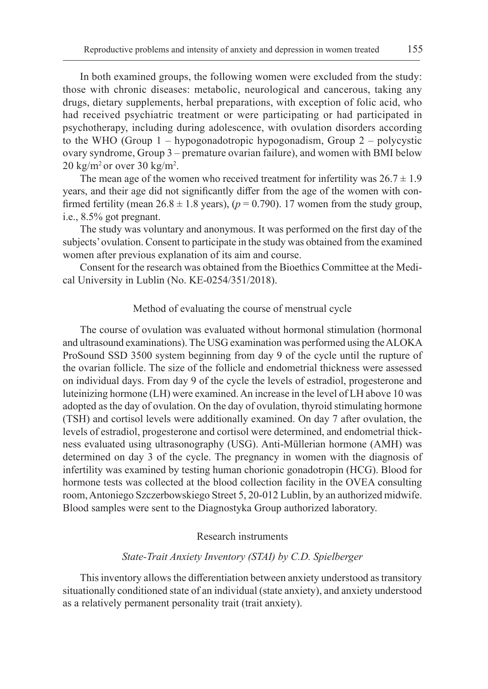In both examined groups, the following women were excluded from the study: those with chronic diseases: metabolic, neurological and cancerous, taking any drugs, dietary supplements, herbal preparations, with exception of folic acid, who had received psychiatric treatment or were participating or had participated in psychotherapy, including during adolescence, with ovulation disorders according to the WHO (Group 1 – hypogonadotropic hypogonadism, Group 2 – polycystic ovary syndrome, Group 3 – premature ovarian failure), and women with BMI below  $20 \text{ kg/m}^2$  or over  $30 \text{ kg/m}^2$ .

The mean age of the women who received treatment for infertility was  $26.7 \pm 1.9$ years, and their age did not significantly differ from the age of the women with confirmed fertility (mean  $26.8 \pm 1.8$  years), ( $p = 0.790$ ). 17 women from the study group, i.e., 8.5% got pregnant.

The study was voluntary and anonymous. It was performed on the first day of the subjects' ovulation. Consent to participate in the study was obtained from the examined women after previous explanation of its aim and course.

Consent for the research was obtained from the Bioethics Committee at the Medical University in Lublin (No. KE-0254/351/2018).

## Method of evaluating the course of menstrual cycle

The course of ovulation was evaluated without hormonal stimulation (hormonal and ultrasound examinations). The USG examination was performed using the ALOKA ProSound SSD 3500 system beginning from day 9 of the cycle until the rupture of the ovarian follicle. The size of the follicle and endometrial thickness were assessed on individual days. From day 9 of the cycle the levels of estradiol, progesterone and luteinizing hormone (LH) were examined. An increase in the level of LH above 10 was adopted as the day of ovulation. On the day of ovulation, thyroid stimulating hormone (TSH) and cortisol levels were additionally examined. On day 7 after ovulation, the levels of estradiol, progesterone and cortisol were determined, and endometrial thickness evaluated using ultrasonography (USG). Anti-Müllerian hormone (AMH) was determined on day 3 of the cycle. The pregnancy in women with the diagnosis of infertility was examined by testing human chorionic gonadotropin (HCG). Blood for hormone tests was collected at the blood collection facility in the OVEA consulting room, Antoniego Szczerbowskiego Street 5, 20-012 Lublin, by an authorized midwife. Blood samples were sent to the Diagnostyka Group authorized laboratory.

## Research instruments

## *State-Trait Anxiety Inventory (STAI) by C.D. Spielberger*

This inventory allows the differentiation between anxiety understood as transitory situationally conditioned state of an individual (state anxiety), and anxiety understood as a relatively permanent personality trait (trait anxiety).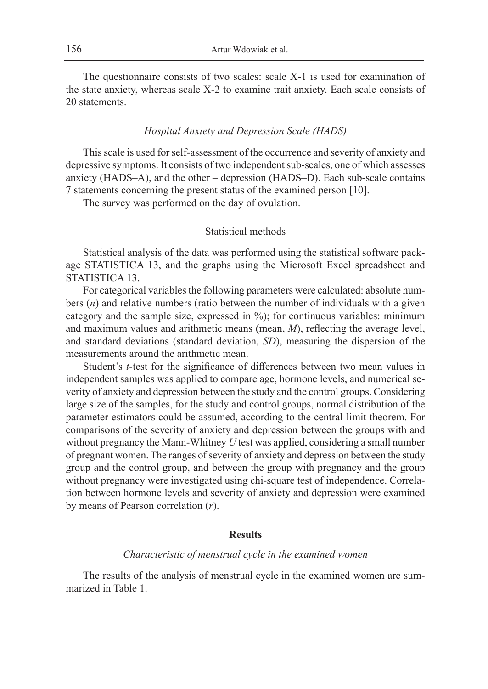The questionnaire consists of two scales: scale X-1 is used for examination of the state anxiety, whereas scale X-2 to examine trait anxiety. Each scale consists of 20 statements.

### *Hospital Anxiety and Depression Scale (HADS)*

This scale is used for self-assessment of the occurrence and severity of anxiety and depressive symptoms. It consists of two independent sub-scales, one of which assesses anxiety (HADS–A), and the other – depression (HADS–D). Each sub-scale contains 7 statements concerning the present status of the examined person [10].

The survey was performed on the day of ovulation.

## Statistical methods

Statistical analysis of the data was performed using the statistical software package STATISTICA 13, and the graphs using the Microsoft Excel spreadsheet and STATISTICA 13.

For categorical variables the following parameters were calculated: absolute numbers (*n*) and relative numbers (ratio between the number of individuals with a given category and the sample size, expressed in %); for continuous variables: minimum and maximum values and arithmetic means (mean, *M*), reflecting the average level, and standard deviations (standard deviation, *SD*), measuring the dispersion of the measurements around the arithmetic mean.

Student's *t*-test for the significance of differences between two mean values in independent samples was applied to compare age, hormone levels, and numerical severity of anxiety and depression between the study and the control groups. Considering large size of the samples, for the study and control groups, normal distribution of the parameter estimators could be assumed, according to the central limit theorem. For comparisons of the severity of anxiety and depression between the groups with and without pregnancy the Mann-Whitney *U* test was applied, considering a small number of pregnant women. The ranges of severity of anxiety and depression between the study group and the control group, and between the group with pregnancy and the group without pregnancy were investigated using chi-square test of independence. Correlation between hormone levels and severity of anxiety and depression were examined by means of Pearson correlation (*r*).

## **Results**

#### *Characteristic of menstrual cycle in the examined women*

The results of the analysis of menstrual cycle in the examined women are summarized in Table 1.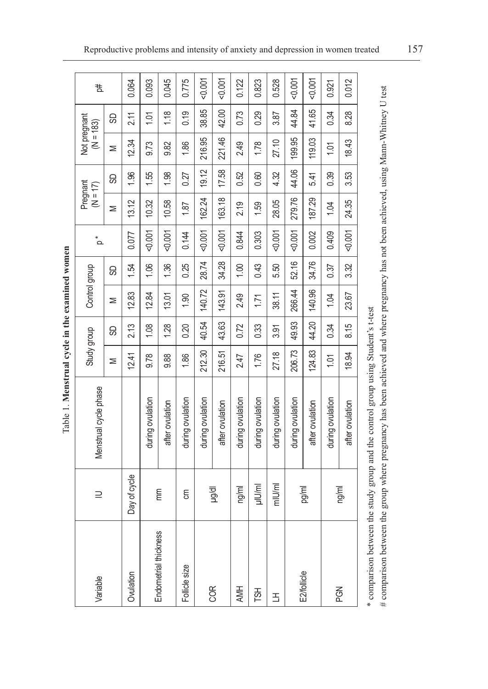|                       |              |                                                              | ,           |       |               |       |            |                        |       |                             |       |          |
|-----------------------|--------------|--------------------------------------------------------------|-------------|-------|---------------|-------|------------|------------------------|-------|-----------------------------|-------|----------|
| Variable              | $\supseteq$  | Menstrual cycle phase                                        | Study group |       | Control group |       | $\alpha^*$ | Pregnant<br>$(N = 17)$ |       | Not pregnant<br>$(M = 183)$ |       | Ħ,       |
|                       |              |                                                              | ⋝           | 8     | Σ             | 8     |            | Σ                      | 9     | ⋝                           | 8     |          |
| Ovulation             | Day of cycle |                                                              | 12.41       | 2.13  | 12.83         | 1.54  | 0.077      | 13.12                  | 1.96  | 12.34                       | 2.11  | 0.064    |
|                       |              | during ovulation                                             | 9.78        | 1.08  | 12.84         | 1.06  | 0.001      | 10.32                  | 1.55  | 9.73                        | 1.01  | 0.093    |
| Endometrial thickness | mm           | after ovulation                                              | 9.88        | 1.28  | 13.01         | 1.36  | 0.001      | 10.58                  | 1.98  | 9.82                        | 1.18  | 0.045    |
| Follicle size         | ξ            | during ovulation                                             | 1.86        | 0.20  | 1.90          | 0.25  | 0.144      | 1.87                   | 0.27  | 1.86                        | 0.19  | 0.775    |
| COR                   |              | during ovulation                                             | 212.30      | 40.54 | 140.72        | 28.74 | 0.001      | 162.24                 | 19.12 | 216.95                      | 38.85 | $-0.001$ |
|                       | lp/g/dl      | after ovulation                                              | 216.51      | 43.63 | 143.91        | 34.28 | 0.001      | 163.18                 | 17.58 | 221.46                      | 42.00 | $-0.001$ |
| AMH                   | ng/ml        | during ovulation                                             | 2.47        | 0.72  | 2.49          | 1.00  | 0.844      | 2.19                   | 0.52  | 2.49                        | 0.73  | 0.122    |
| TSН                   | µlU/ml       | during ovulation                                             | 1.76        | 0.33  | 1.71          | 0.43  | 0.303      | 1.59                   | 0.60  | 1.78                        | 0.29  | 0.823    |
| 舌                     | mlU/ml       | during ovulation                                             | 27.18       | 3.91  | 38.11         | 5.50  | 0.001      | 28.05                  | 4.32  | 27.10                       | 3.87  | 0.528    |
| E2/follicle           |              | during ovulation                                             | 206.73      | 49.93 | 266.44        | 52.16 | 0.001      | 279.76                 | 44.06 | 199.95                      | 44.84 | $-0.001$ |
|                       | pg/ml        | after ovulation                                              | 124.83      | 44.20 | 140.96        | 34.76 | 0.002      | 187.29                 | 5.41  | 119.03                      | 41.65 | 0.001    |
| PGN                   |              | during ovulation                                             | 1.01        | 0.34  | 1.04          | 0.37  | 0.409      | 1.04                   | 0.39  | 1.01                        | 0.34  | 0.921    |
|                       | ng/ml        | after ovulation                                              | 18.94       | 8.15  | 23.67         | 3.32  | 0.001      | 24.35                  | 3.53  | 18.43                       | 8.28  | 0.012    |
| * comparison betwee   |              | n the study croun and the control croun using Student's that |             |       |               |       |            |                        |       |                             |       |          |

Table 1. Menstrual cycle in the examined women Table 1. **Menstrual cycle in the examined women**

# comparison between the group where pregnancy has been achieved and where pregnancy has not been achieved, using Mann-Whitney U test # comparison between the group where pregnancy has been achieved and where pregnancy has not been achieved, using Mann-Whitney U testcomparison occurs a factory group and the control group and the comparison occurs in the statement of the control group and the control group of the control group. \* comparison between the study group and the control group using Student's t-test

Reproductive problems and intensity of anxiety and depression in women treated 157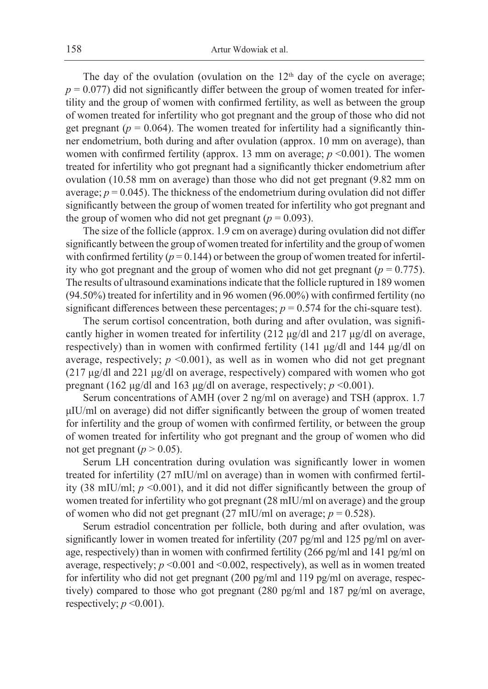The day of the ovulation (ovulation on the  $12<sup>th</sup>$  day of the cycle on average;  $p = 0.077$ ) did not significantly differ between the group of women treated for infertility and the group of women with confirmed fertility, as well as between the group of women treated for infertility who got pregnant and the group of those who did not get pregnant ( $p = 0.064$ ). The women treated for infertility had a significantly thinner endometrium, both during and after ovulation (approx. 10 mm on average), than women with confirmed fertility (approx. 13 mm on average;  $p \le 0.001$ ). The women treated for infertility who got pregnant had a significantly thicker endometrium after ovulation (10.58 mm on average) than those who did not get pregnant (9.82 mm on average;  $p = 0.045$ ). The thickness of the endometrium during ovulation did not differ significantly between the group of women treated for infertility who got pregnant and the group of women who did not get pregnant ( $p = 0.093$ ).

The size of the follicle (approx. 1.9 cm on average) during ovulation did not differ significantly between the group of women treated for infertility and the group of women with confirmed fertility  $(p=0.144)$  or between the group of women treated for infertility who got pregnant and the group of women who did not get pregnant ( $p = 0.775$ ). The results of ultrasound examinations indicate that the follicle ruptured in 189 women (94.50%) treated for infertility and in 96 women (96.00%) with confirmed fertility (no significant differences between these percentages;  $p = 0.574$  for the chi-square test).

The serum cortisol concentration, both during and after ovulation, was significantly higher in women treated for infertility (212 μg/dl and 217 μg/dl on average, respectively) than in women with confirmed fertility (141 μg/dl and 144 μg/dl on average, respectively;  $p \leq 0.001$ ), as well as in women who did not get pregnant (217 μg/dl and 221 μg/dl on average, respectively) compared with women who got pregnant (162 μg/dl and 163 μg/dl on average, respectively; *p* <0.001).

Serum concentrations of AMH (over 2 ng/ml on average) and TSH (approx. 1.7 μIU/ml on average) did not differ significantly between the group of women treated for infertility and the group of women with confirmed fertility, or between the group of women treated for infertility who got pregnant and the group of women who did not get pregnant ( $p > 0.05$ ).

Serum LH concentration during ovulation was significantly lower in women treated for infertility (27 mIU/ml on average) than in women with confirmed fertility (38 mIU/ml; *p* <0.001), and it did not differ significantly between the group of women treated for infertility who got pregnant (28 mIU/ml on average) and the group of women who did not get pregnant  $(27 \text{ mIU/ml})$  on average;  $p = 0.528$ ).

Serum estradiol concentration per follicle, both during and after ovulation, was significantly lower in women treated for infertility (207 pg/ml and 125 pg/ml on average, respectively) than in women with confirmed fertility (266 pg/ml and 141 pg/ml on average, respectively; *p* <0.001 and <0.002, respectively), as well as in women treated for infertility who did not get pregnant (200 pg/ml and 119 pg/ml on average, respectively) compared to those who got pregnant (280 pg/ml and 187 pg/ml on average, respectively;  $p \le 0.001$ ).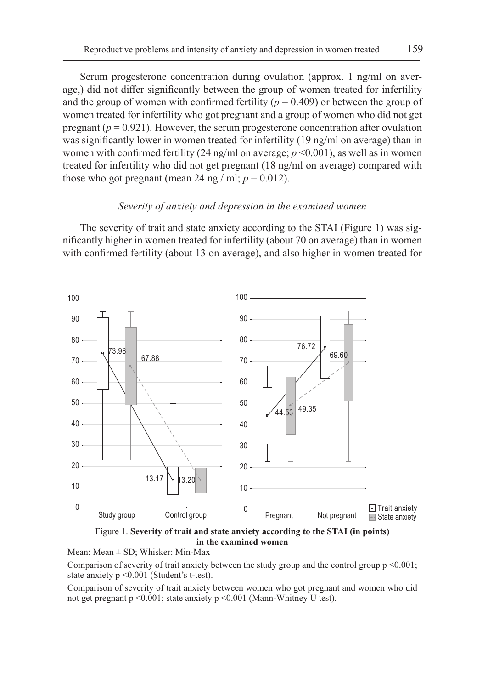Serum progesterone concentration during ovulation (approx. 1 ng/ml on average,) did not differ significantly between the group of women treated for infertility and the group of women with confirmed fertility  $(p = 0.409)$  or between the group of women treated for infertility who got pregnant and a group of women who did not get pregnant  $(p = 0.921)$ . However, the serum progesterone concentration after ovulation was significantly lower in women treated for infertility (19 ng/ml on average) than in women with confirmed fertility  $(24 \text{ ng/ml on average}; p \le 0.001)$ , as well as in women treated for infertility who did not get pregnant (18 ng/ml on average) compared with those who got pregnant (mean 24 ng / ml;  $p = 0.012$ ).

## *Severity of anxiety and depression in the examined women*

The severity of trait and state anxiety according to the STAI (Figure 1) was significantly higher in women treated for infertility (about 70 on average) than in women with confirmed fertility (about 13 on average), and also higher in women treated for



Figure 1. **Severity of trait and state anxiety according to the STAI (in points) in the examined women**

Mean; Mean  $\pm$  SD; Whisker: Min-Max

Comparison of severity of trait anxiety between the study group and the control group  $p \le 0.001$ ; state anxiety p <0.001 (Student's t-test).

Comparison of severity of trait anxiety between women who got pregnant and women who did not get pregnant p <0.001; state anxiety p <0.001 (Mann-Whitney U test).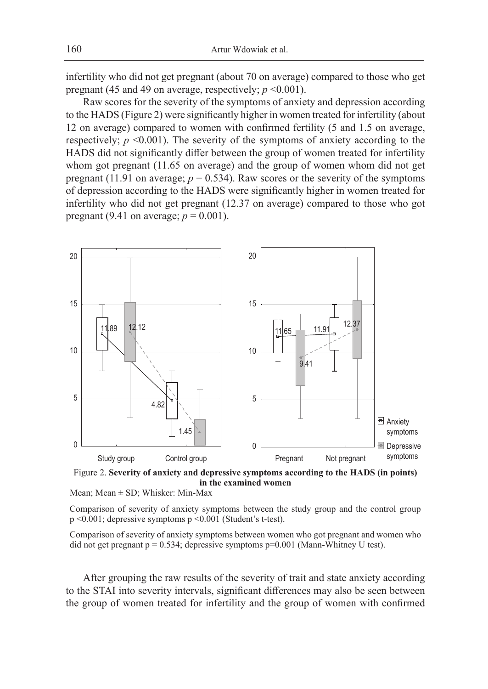infertility who did not get pregnant (about 70 on average) compared to those who get pregnant (45 and 49 on average, respectively;  $p \le 0.001$ ).

Raw scores for the severity of the symptoms of anxiety and depression according to the HADS (Figure 2) were significantly higher in women treated for infertility (about 12 on average) compared to women with confirmed fertility (5 and 1.5 on average, respectively;  $p \le 0.001$ ). The severity of the symptoms of anxiety according to the HADS did not significantly differ between the group of women treated for infertility whom got pregnant (11.65 on average) and the group of women whom did not get pregnant (11.91 on average;  $p = 0.534$ ). Raw scores or the severity of the symptoms of depression according to the HADS were significantly higher in women treated for infertility who did not get pregnant (12.37 on average) compared to those who got pregnant (9.41 on average;  $p = 0.001$ ).



Figure 2. **Severity of anxiety and depressive symptoms according to the HADS (in points) in the examined women**

Mean; Mean  $\pm$  SD; Whisker: Min-Max

Comparison of severity of anxiety symptoms between the study group and the control group p <0.001; depressive symptoms p <0.001 (Student's t-test).

Comparison of severity of anxiety symptoms between women who got pregnant and women who did not get pregnant  $p = 0.534$ ; depressive symptoms  $p=0.001$  (Mann-Whitney U test).

After grouping the raw results of the severity of trait and state anxiety according to the STAI into severity intervals, significant differences may also be seen between the group of women treated for infertility and the group of women with confirmed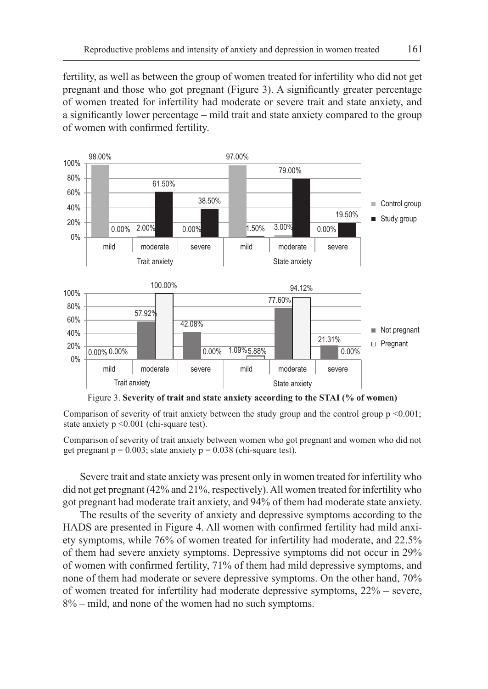fertility, as well as between the group of women treated for infertility who did not get pregnant and those who got pregnant (Figure 3). A significantly greater percentage of women treated for infertility had moderate or severe trait and state anxiety, and a significantly lower percentage – mild trait and state anxiety compared to the group of women with confirmed fertility.



Figure 3. **Severity of trait and state anxiety according to the STAI (% of women)**

Comparison of severity of trait anxiety between the study group and the control group  $p \le 0.001$ ; state anxiety p <0.001 (chi-square test).

Comparison of severity of trait anxiety between women who got pregnant and women who did not get pregnant  $p = 0.003$ ; state anxiety  $p = 0.038$  (chi-square test).

Severe trait and state anxiety was present only in women treated for infertility who did not get pregnant (42% and 21%, respectively). All women treated for infertility who got pregnant had moderate trait anxiety, and 94% of them had moderate state anxiety.

The results of the severity of anxiety and depressive symptoms according to the HADS are presented in Figure 4. All women with confirmed fertility had mild anxiety symptoms, while 76% of women treated for infertility had moderate, and 22.5% of them had severe anxiety symptoms. Depressive symptoms did not occur in 29% of women with confirmed fertility, 71% of them had mild depressive symptoms, and none of them had moderate or severe depressive symptoms. On the other hand, 70% of women treated for infertility had moderate depressive symptoms, 22% – severe, 8% – mild, and none of the women had no such symptoms.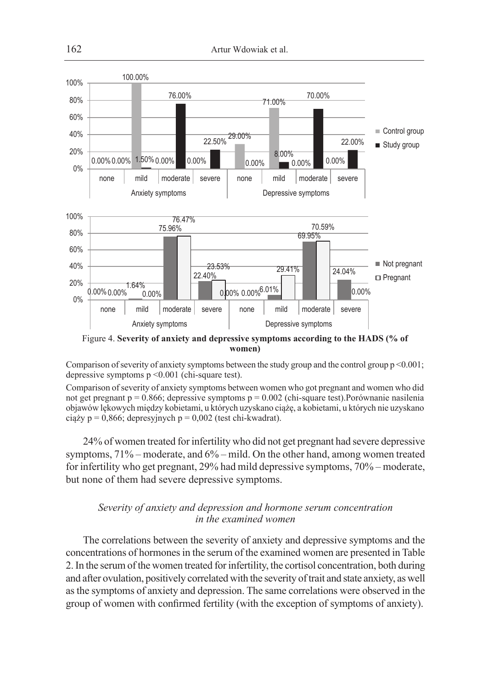

**women)**

Comparison of severity of anxiety symptoms between the study group and the control group  $p \le 0.001$ ; depressive symptoms p <0.001 (chi-square test).

Comparison of severity of anxiety symptoms between women who got pregnant and women who did not get pregnant  $p = 0.866$ ; depressive symptoms  $p = 0.002$  (chi-square test). Porównanie nasilenia objawów lękowych między kobietami, u których uzyskano ciążę, a kobietami, u których nie uzyskano ciąży p = 0,866; depresyjnych p = 0,002 (test chi-kwadrat).

24% of women treated for infertility who did not get pregnant had severe depressive symptoms, 71% – moderate, and 6% – mild. On the other hand, among women treated for infertility who get pregnant, 29% had mild depressive symptoms, 70% – moderate, but none of them had severe depressive symptoms.

## *Severity of anxiety and depression and hormone serum concentration in the examined women*

The correlations between the severity of anxiety and depressive symptoms and the concentrations of hormones in the serum of the examined women are presented in Table 2. In the serum of the women treated for infertility, the cortisol concentration, both during and after ovulation, positively correlated with the severity of trait and state anxiety, as well as the symptoms of anxiety and depression. The same correlations were observed in the group of women with confirmed fertility (with the exception of symptoms of anxiety).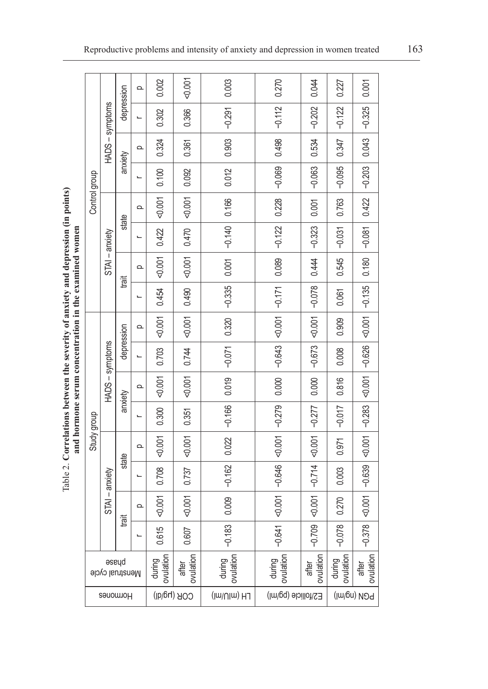Table 2. Correlations between the severity of anxiety and depression (in points) and hormone serum concentration in the examined women Table 2. **Correlations between the severity of anxiety and depression (in points) and hormone serum concentration in the examined women**

| Control group<br>Study group | HADS-symptoms |            | $\Omega$ | 0.002               | 0.001              | 0.003               | 0.270               | 0.044              | 0.227               | 0.001                   |
|------------------------------|---------------|------------|----------|---------------------|--------------------|---------------------|---------------------|--------------------|---------------------|-------------------------|
|                              |               | depression |          | 0.302               | 0.366              | $-0.291$            | $-0.112$            | $-0.202$           | $-0.122$            | $-0.325$                |
|                              |               |            | $\Omega$ | 0.324               | 0.361              | 0.903               | 0.498               | 0.534              | 0.347               | 0.043                   |
|                              |               | anxiety    |          | 0.100               | 0.092              | 0.012               | $-0.069$            | $-0.063$           | $-0.095$            | $-0.203$                |
|                              |               |            | $\Omega$ | 1001                | 0.001              | 0.166               | 0.228               | 0.001              | 0.763               | 0.422                   |
|                              |               | state      |          | 0.422               | 0.470              | $-0.140$            | $-0.122$            | $-0.323$           | $-0.031$            | $-0.081$                |
|                              | STAI-anxiety  |            | Ω        | 0.001               | 0.001              | 0.001               | 0.089               | 0.444              | 0.545               | 0.180                   |
|                              |               | trait      |          | 0.454               | 0.490              | $-0.335$            | $-0.171$            | $-0.078$           | 0.061               | $\left  -0.135 \right $ |
|                              | HADS-symptoms |            | $\Omega$ | 0.001               | 0.001              | 0.320               | 0.001               | 0.001              | 0.909               | 10000                   |
|                              |               | depression |          | 0.703               | 0.744              | $-0.071$            | $-0.643$            | $-0.673$           | 0.008               | $-0.626$                |
|                              |               | anxiety    | $\Omega$ | 50001               | 0.001              | 0.019               | 0.000               | 0.000              | 0.816               | 1001                    |
|                              |               |            | L,       | 0.300               | 0.351              | $-0.166$            | $-0.279$            | $-0.277$           | $-0.017$            | $-0.283$                |
|                              | STAI-anxiety  | state      | $\Omega$ | 0.001               | 0.001              | 0.022               | $-0.001$            | $-0.001$           | 0.971               | < 0.001                 |
|                              |               |            |          | 0.708               | 0.737              | $-0.162$            | $-0.646$            | $-0.714$           | 0.003               | $-0.639$                |
|                              |               | trait      | Ω        | 0.001               | 0.001              | 0.009               | $-0.001$            | 0.001              | 0.270               | $-0.001$                |
|                              |               |            |          | 0.615               | 0.607              | $-0.183$            | $-0.641$            | $-0.709$           | $-0.078$            | $-0.378$                |
| byseud<br>Menstrual cycle    |               |            |          | ovulation<br>during | ovulation<br>after | during<br>ovulation | ovulation<br>during | ovulation<br>after | during<br>ovulation | ovulation<br>after      |
|                              | Hormones      |            |          |                     | COR (hg/dl)        | (lm\Ulm) HJ         | E2/follicle (pg/ml) | <b>HOW/MI</b>      |                     |                         |
|                              |               |            |          |                     |                    |                     |                     |                    |                     |                         |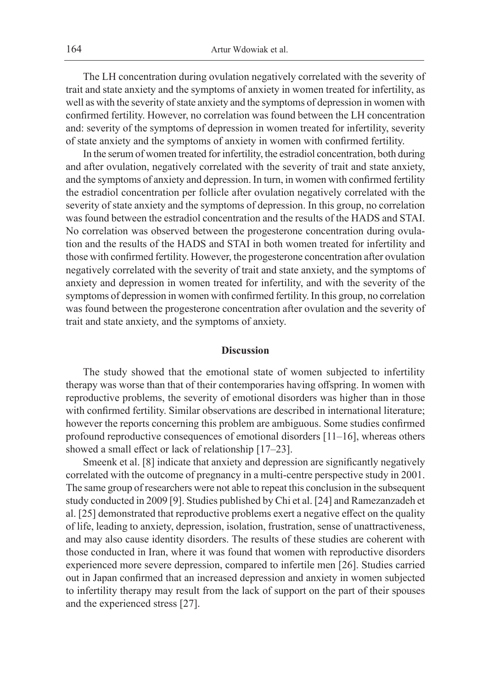The LH concentration during ovulation negatively correlated with the severity of trait and state anxiety and the symptoms of anxiety in women treated for infertility, as well as with the severity of state anxiety and the symptoms of depression in women with confirmed fertility. However, no correlation was found between the LH concentration and: severity of the symptoms of depression in women treated for infertility, severity of state anxiety and the symptoms of anxiety in women with confirmed fertility.

In the serum of women treated for infertility, the estradiol concentration, both during and after ovulation, negatively correlated with the severity of trait and state anxiety, and the symptoms of anxiety and depression. In turn, in women with confirmed fertility the estradiol concentration per follicle after ovulation negatively correlated with the severity of state anxiety and the symptoms of depression. In this group, no correlation was found between the estradiol concentration and the results of the HADS and STAI. No correlation was observed between the progesterone concentration during ovulation and the results of the HADS and STAI in both women treated for infertility and those with confirmed fertility. However, the progesterone concentration after ovulation negatively correlated with the severity of trait and state anxiety, and the symptoms of anxiety and depression in women treated for infertility, and with the severity of the symptoms of depression in women with confirmed fertility. In this group, no correlation was found between the progesterone concentration after ovulation and the severity of trait and state anxiety, and the symptoms of anxiety.

#### **Discussion**

The study showed that the emotional state of women subjected to infertility therapy was worse than that of their contemporaries having offspring. In women with reproductive problems, the severity of emotional disorders was higher than in those with confirmed fertility. Similar observations are described in international literature; however the reports concerning this problem are ambiguous. Some studies confirmed profound reproductive consequences of emotional disorders  $[11-16]$ , whereas others showed a small effect or lack of relationship [17–23].

Smeenk et al. [8] indicate that anxiety and depression are significantly negatively correlated with the outcome of pregnancy in a multi-centre perspective study in 2001. The same group of researchers were not able to repeat this conclusion in the subsequent study conducted in 2009 [9]. Studies published by Chi et al. [24] and Ramezanzadeh et al. [25] demonstrated that reproductive problems exert a negative effect on the quality of life, leading to anxiety, depression, isolation, frustration, sense of unattractiveness, and may also cause identity disorders. The results of these studies are coherent with those conducted in Iran, where it was found that women with reproductive disorders experienced more severe depression, compared to infertile men [26]. Studies carried out in Japan confirmed that an increased depression and anxiety in women subjected to infertility therapy may result from the lack of support on the part of their spouses and the experienced stress [27].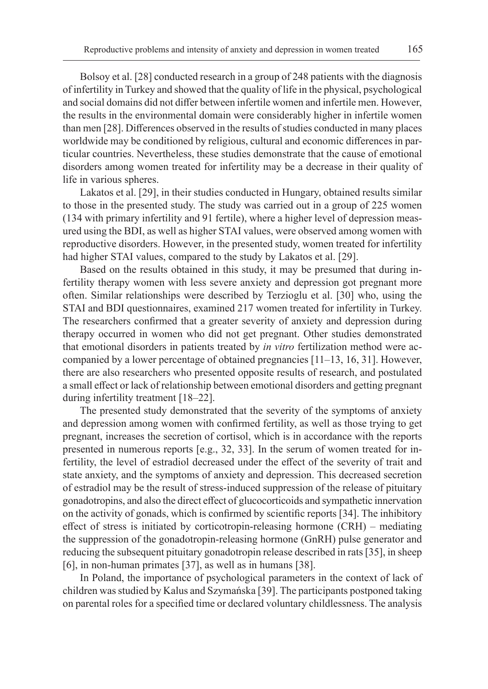Bolsoy et al. [28] conducted research in a group of 248 patients with the diagnosis of infertility in Turkey and showed that the quality of life in the physical, psychological and social domains did not differ between infertile women and infertile men. However, the results in the environmental domain were considerably higher in infertile women than men [28]. Differences observed in the results of studies conducted in many places worldwide may be conditioned by religious, cultural and economic differences in particular countries. Nevertheless, these studies demonstrate that the cause of emotional disorders among women treated for infertility may be a decrease in their quality of life in various spheres.

Lakatos et al. [29], in their studies conducted in Hungary, obtained results similar to those in the presented study. The study was carried out in a group of 225 women (134 with primary infertility and 91 fertile), where a higher level of depression measured using the BDI, as well as higher STAI values, were observed among women with reproductive disorders. However, in the presented study, women treated for infertility had higher STAI values, compared to the study by Lakatos et al. [29].

Based on the results obtained in this study, it may be presumed that during infertility therapy women with less severe anxiety and depression got pregnant more often. Similar relationships were described by Terzioglu et al. [30] who, using the STAI and BDI questionnaires, examined 217 women treated for infertility in Turkey. The researchers confirmed that a greater severity of anxiety and depression during therapy occurred in women who did not get pregnant. Other studies demonstrated that emotional disorders in patients treated by *in vitro* fertilization method were accompanied by a lower percentage of obtained pregnancies [11–13, 16, 31]. However, there are also researchers who presented opposite results of research, and postulated a small effect or lack of relationship between emotional disorders and getting pregnant during infertility treatment [18–22].

The presented study demonstrated that the severity of the symptoms of anxiety and depression among women with confirmed fertility, as well as those trying to get pregnant, increases the secretion of cortisol, which is in accordance with the reports presented in numerous reports [e.g., 32, 33]. In the serum of women treated for infertility, the level of estradiol decreased under the effect of the severity of trait and state anxiety, and the symptoms of anxiety and depression. This decreased secretion of estradiol may be the result of stress-induced suppression of the release of pituitary gonadotropins, and also the direct effect of glucocorticoids and sympathetic innervation on the activity of gonads, which is confirmed by scientific reports [34]. The inhibitory effect of stress is initiated by corticotropin-releasing hormone (CRH) – mediating the suppression of the gonadotropin-releasing hormone (GnRH) pulse generator and reducing the subsequent pituitary gonadotropin release described in rats [35], in sheep [6], in non-human primates [37], as well as in humans [38].

In Poland, the importance of psychological parameters in the context of lack of children was studied by Kalus and Szymańska [39]. The participants postponed taking on parental roles for a specified time or declared voluntary childlessness. The analysis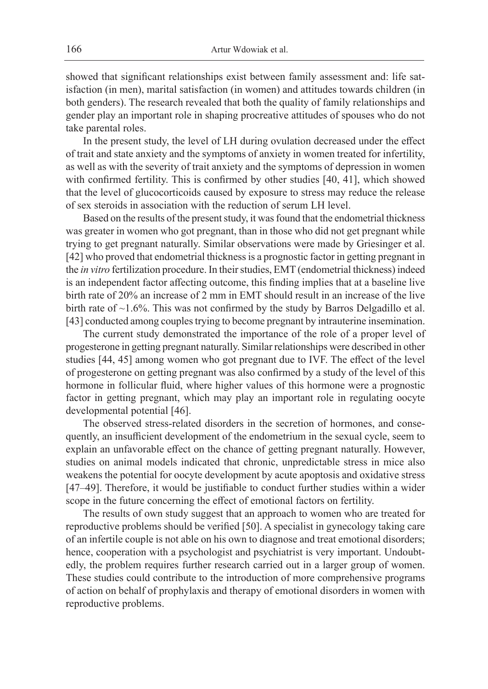showed that significant relationships exist between family assessment and: life satisfaction (in men), marital satisfaction (in women) and attitudes towards children (in both genders). The research revealed that both the quality of family relationships and gender play an important role in shaping procreative attitudes of spouses who do not take parental roles.

In the present study, the level of LH during ovulation decreased under the effect of trait and state anxiety and the symptoms of anxiety in women treated for infertility, as well as with the severity of trait anxiety and the symptoms of depression in women with confirmed fertility. This is confirmed by other studies [40, 41], which showed that the level of glucocorticoids caused by exposure to stress may reduce the release of sex steroids in association with the reduction of serum LH level.

Based on the results of the present study, it was found that the endometrial thickness was greater in women who got pregnant, than in those who did not get pregnant while trying to get pregnant naturally. Similar observations were made by Griesinger et al. [42] who proved that endometrial thickness is a prognostic factor in getting pregnant in the *in vitro* fertilization procedure. In their studies, EMT (endometrial thickness) indeed is an independent factor affecting outcome, this finding implies that at a baseline live birth rate of 20% an increase of 2 mm in EMT should result in an increase of the live birth rate of ~1.6%. This was not confirmed by the study by Barros Delgadillo et al. [43] conducted among couples trying to become pregnant by intrauterine insemination.

The current study demonstrated the importance of the role of a proper level of progesterone in getting pregnant naturally. Similar relationships were described in other studies [44, 45] among women who got pregnant due to IVF. The effect of the level of progesterone on getting pregnant was also confirmed by a study of the level of this hormone in follicular fluid, where higher values of this hormone were a prognostic factor in getting pregnant, which may play an important role in regulating oocyte developmental potential [46].

The observed stress-related disorders in the secretion of hormones, and consequently, an insufficient development of the endometrium in the sexual cycle, seem to explain an unfavorable effect on the chance of getting pregnant naturally. However, studies on animal models indicated that chronic, unpredictable stress in mice also weakens the potential for oocyte development by acute apoptosis and oxidative stress [47–49]. Therefore, it would be justifiable to conduct further studies within a wider scope in the future concerning the effect of emotional factors on fertility.

The results of own study suggest that an approach to women who are treated for reproductive problems should be verified [50]. A specialist in gynecology taking care of an infertile couple is not able on his own to diagnose and treat emotional disorders; hence, cooperation with a psychologist and psychiatrist is very important. Undoubtedly, the problem requires further research carried out in a larger group of women. These studies could contribute to the introduction of more comprehensive programs of action on behalf of prophylaxis and therapy of emotional disorders in women with reproductive problems.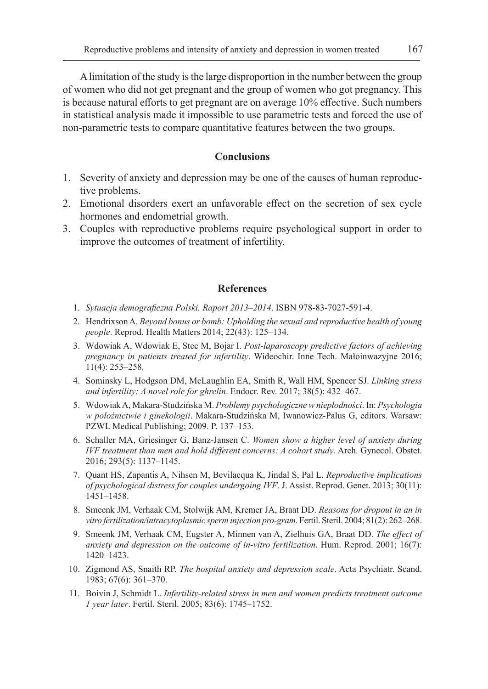A limitation of the study is the large disproportion in the number between the group of women who did not get pregnant and the group of women who got pregnancy. This is because natural efforts to get pregnant are on average 10% effective. Such numbers in statistical analysis made it impossible to use parametric tests and forced the use of non-parametric tests to compare quantitative features between the two groups.

## **Conclusions**

- 1. Severity of anxiety and depression may be one of the causes of human reproductive problems.
- 2. Emotional disorders exert an unfavorable effect on the secretion of sex cycle hormones and endometrial growth.
- 3. Couples with reproductive problems require psychological support in order to improve the outcomes of treatment of infertility.

## **References**

- 1. *Sytuacja demograficzna Polski. Raport 2013–2014*. ISBN 978-83-7027-591-4.
- 2. Hendrixson A. *Beyond bonus or bomb: Upholding the sexual and reproductive health of young people*. Reprod. Health Matters 2014; 22(43): 125–134.
- 3. Wdowiak A, Wdowiak E, Stec M, Bojar I. *Post-laparoscopy predictive factors of achieving pregnancy in patients treated for infertility*. Wideochir. Inne Tech. Małoinwazyjne 2016; 11(4): 253–258.
- 4. Sominsky L, Hodgson DM, McLaughlin EA, Smith R, Wall HM, Spencer SJ. *Linking stress and infertility: A novel role for ghrelin*. Endocr. Rev. 2017; 38(5): 432–467.
- 5. Wdowiak A, Makara-Studzińska M. *Problemy psychologiczne w niepłodności*. In: *Psychologia w położnictwie i ginekologii*. Makara-Studzińska M, Iwanowicz-Palus G, editors. Warsaw: PZWL Medical Publishing; 2009. P. 137–153.
- 6. Schaller MA, Griesinger G, Banz-Jansen C. *Women show a higher level of anxiety during IVF treatment than men and hold different concerns: A cohort study*. Arch. Gynecol. Obstet. 2016; 293(5): 1137–1145.
- 7. Quant HS, Zapantis A, Nihsen M, Bevilacqua K, Jindal S, Pal L. *Reproductive implications of psychological distress for couples undergoing IVF*. J. Assist. Reprod. Genet. 2013; 30(11): 1451–1458.
- 8. Smeenk JM, Verhaak CM, Stolwijk AM, Kremer JA, Braat DD. *Reasons for dropout in an in vitro fertilization/intracytoplasmic sperm injection pro-gram*. Fertil. Steril. 2004; 81(2): 262–268.
- 9. Smeenk JM, Verhaak CM, Eugster A, Minnen van A, Zielhuis GA, Braat DD. *The effect of anxiety and depression on the outcome of in-vitro fertilization*. Hum. Reprod. 2001; 16(7): 1420–1423.
- 10. Zigmond AS, Snaith RP. *The hospital anxiety and depression scale*. Acta Psychiatr. Scand. 1983; 67(6): 361–370.
- 11. Boivin J, Schmidt L. *Infertility-related stress in men and women predicts treatment outcome 1 year later*. Fertil. Steril. 2005; 83(6): 1745–1752.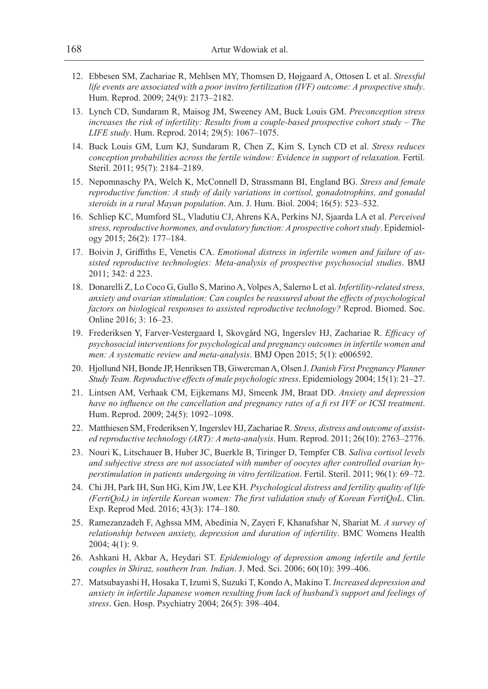- 12. Ebbesen SM, Zachariae R, Mehlsen MY, Thomsen D, Højgaard A, Ottosen L et al. *Stressful life events are associated with a poor invitro fertilization (IVF) outcome: A prospective study*. Hum. Reprod. 2009; 24(9): 2173–2182.
- 13. Lynch CD, Sundaram R, Maisog JM, Sweeney AM, Buck Louis GM. *Preconception stress increases the risk of infertility: Results from a couple-based prospective cohort study – The LIFE study*. Hum. Reprod. 2014; 29(5): 1067–1075.
- 14. Buck Louis GM, Lum KJ, Sundaram R, Chen Z, Kim S, Lynch CD et al. *Stress reduces conception probabilities across the fertile window: Evidence in support of relaxation*. Fertil. Steril. 2011; 95(7): 2184–2189.
- 15. Nepomnaschy PA, Welch K, McConnell D, Strassmann BI, England BG. *Stress and female reproductive function: A study of daily variations in cortisol, gonadotrophins, and gonadal steroids in a rural Mayan population*. Am. J. Hum. Biol. 2004; 16(5): 523–532.
- 16. Schliep KC, Mumford SL, Vladutiu CJ, Ahrens KA, Perkins NJ, Sjaarda LA et al. *Perceived stress, reproductive hormones, and ovulatory function: A prospective cohort study*. Epidemiology 2015; 26(2): 177–184.
- 17. Boivin J, Griffiths E, Venetis CA. *Emotional distress in infertile women and failure of assisted reproductive technologies: Meta-analysis of prospective psychosocial studies*. BMJ 2011; 342: d 223.
- 18. Donarelli Z, Lo Coco G, Gullo S, Marino A, Volpes A, Salerno L et al. *Infertility-related stress, anxiety and ovarian stimulation: Can couples be reassured about the effects of psychological factors on biological responses to assisted reproductive technology?* Reprod. Biomed. Soc. Online 2016; 3: 16–23.
- 19. Frederiksen Y, Farver-Vestergaard I, Skovgård NG, Ingerslev HJ, Zachariae R. *Efficacy of psychosocial interventions for psychological and pregnancy outcomes in infertile women and men: A systematic review and meta-analysis*. BMJ Open 2015; 5(1): e006592.
- 20. Hjollund NH, Bonde JP, Henriksen TB, Giwercman A, Olsen J. *Danish First Pregnancy Planner Study Team. Reproductive effects of male psychologic stress*. Epidemiology 2004; 15(1): 21–27.
- 21. Lintsen AM, Verhaak CM, Eijkemans MJ, Smeenk JM, Braat DD. *Anxiety and depression have no influence on the cancellation and pregnancy rates of a fi rst IVF or ICSI treatment*. Hum. Reprod. 2009; 24(5): 1092–1098.
- 22. Matthiesen SM, Frederiksen Y, Ingerslev HJ, Zachariae R*. Stress, distress and outcome of assisted reproductive technology (ART): A meta-analysis*. Hum. Reprod. 2011; 26(10): 2763–2776.
- 23. Nouri K, Litschauer B, Huber JC, Buerkle B, Tiringer D, Tempfer CB*. Saliva cortisol levels and subjective stress are not associated with number of oocytes after controlled ovarian hyperstimulation in patients undergoing in vitro fertilization*. Fertil. Steril. 2011; 96(1): 69–72.
- 24. Chi JH, Park IH, Sun HG, Kim JW, Lee KH. *Psychological distress and fertility quality of life (FertiQoL) in infertile Korean women: The first validation study of Korean FertiQoL*. Clin. Exp. Reprod Med. 2016; 43(3): 174–180.
- 25. Ramezanzadeh F, Aghssa MM, Abedinia N, Zayeri F, Khanafshar N, Shariat M. *A survey of relationship between anxiety, depression and duration of infertility*. BMC Womens Health 2004; 4(1): 9.
- 26. Ashkani H, Akbar A, Heydari ST. *Epidemiology of depression among infertile and fertile couples in Shiraz, southern Iran. Indian*. J. Med. Sci. 2006; 60(10): 399–406.
- 27. Matsubayashi H, Hosaka T, Izumi S, Suzuki T, Kondo A, Makino T. *Increased depression and anxiety in infertile Japanese women resulting from lack of husband's support and feelings of stress*. Gen. Hosp. Psychiatry 2004; 26(5): 398–404.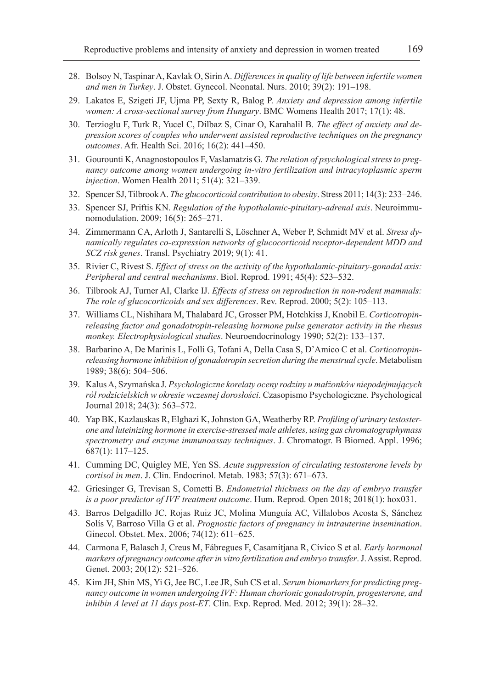- 28. Bolsoy N, Taspinar A, Kavlak O, Sirin A. *Differences in quality of life between infertile women and men in Turkey*. J. Obstet. Gynecol. Neonatal. Nurs. 2010; 39(2): 191–198.
- 29. Lakatos E, Szigeti JF, Ujma PP, Sexty R, Balog P. *Anxiety and depression among infertile women: A cross-sectional survey from Hungary*. BMC Womens Health 2017; 17(1): 48.
- 30. Terzioglu F, Turk R, Yucel C, Dilbaz S, Cinar O, Karahalil B. *The effect of anxiety and depression scores of couples who underwent assisted reproductive techniques on the pregnancy outcomes*. Afr. Health Sci. 2016; 16(2): 441–450.
- 31. Gourounti K, Anagnostopoulos F, Vaslamatzis G. *The relation of psychological stress to pregnancy outcome among women undergoing in-vitro fertilization and intracytoplasmic sperm injection*. Women Health 2011; 51(4): 321–339.
- 32. Spencer SJ, Tilbrook A. *The glucocorticoid contribution to obesity*. Stress 2011; 14(3): 233–246.
- 33. Spencer SJ, Priftis KN. *Regulation of the hypothalamic-pituitary-adrenal axis*. Neuroimmunomodulation. 2009; 16(5): 265–271.
- 34. Zimmermann CA, Arloth J, Santarelli S, Löschner A, Weber P, Schmidt MV et al. *Stress dynamically regulates co-expression networks of glucocorticoid receptor-dependent MDD and SCZ risk genes*. Transl. Psychiatry 2019; 9(1): 41.
- 35. Rivier C, Rivest S. *Effect of stress on the activity of the hypothalamic-pituitary-gonadal axis: Peripheral and central mechanisms*. Biol. Reprod. 1991; 45(4): 523–532.
- 36. Tilbrook AJ, Turner AI, Clarke IJ. *Effects of stress on reproduction in non-rodent mammals: The role of glucocorticoids and sex differences*. Rev. Reprod. 2000; 5(2): 105–113.
- 37. Williams CL, Nishihara M, Thalabard JC, Grosser PM, Hotchkiss J, Knobil E. *Corticotropinreleasing factor and gonadotropin-releasing hormone pulse generator activity in the rhesus monkey. Electrophysiological studies*. Neuroendocrinology 1990; 52(2): 133–137.
- 38. Barbarino A, De Marinis L, Folli G, Tofani A, Della Casa S, D'Amico C et al. *Corticotropinreleasing hormone inhibition of gonadotropin secretion during the menstrual cycle*. Metabolism 1989; 38(6): 504–506.
- 39. Kalus A, Szymańska J. *Psychologiczne korelaty oceny rodziny u małżonków niepodejmujących ról rodzicielskich w okresie wczesnej dorosłości*. Czasopismo Psychologiczne. Psychological Journal 2018; 24(3): 563–572.
- 40. Yap BK, Kazlauskas R, Elghazi K, Johnston GA, Weatherby RP. *Profiling of urinary testosterone and luteinizing hormone in exercise-stressed male athletes, using gas chromatographymass spectrometry and enzyme immunoassay techniques*. J. Chromatogr. B Biomed. Appl. 1996; 687(1): 117–125.
- 41. Cumming DC, Quigley ME, Yen SS. *Acute suppression of circulating testosterone levels by cortisol in men*. J. Clin. Endocrinol. Metab. 1983; 57(3): 671–673.
- 42. Griesinger G, Trevisan S, Cometti B. *Endometrial thickness on the day of embryo transfer is a poor predictor of IVF treatment outcome*. Hum. Reprod. Open 2018; 2018(1): hox031.
- 43. Barros Delgadillo JC, Rojas Ruiz JC, Molina Munguía AC, Villalobos Acosta S, Sánchez Solís V, Barroso Villa G et al. *Prognostic factors of pregnancy in intrauterine insemination*. Ginecol. Obstet. Mex. 2006; 74(12): 611–625.
- 44. Carmona F, Balasch J, Creus M, Fábregues F, Casamitjana R, Cívico S et al. *Early hormonal markers of pregnancy outcome after in vitro fertilization and embryo transfer*. J. Assist. Reprod. Genet. 2003; 20(12): 521–526.
- 45. Kim JH, Shin MS, Yi G, Jee BC, Lee JR, Suh CS et al. *Serum biomarkers for predicting pregnancy outcome in women undergoing IVF: Human chorionic gonadotropin, progesterone, and inhibin A level at 11 days post-ET*. Clin. Exp. Reprod. Med. 2012; 39(1): 28–32.